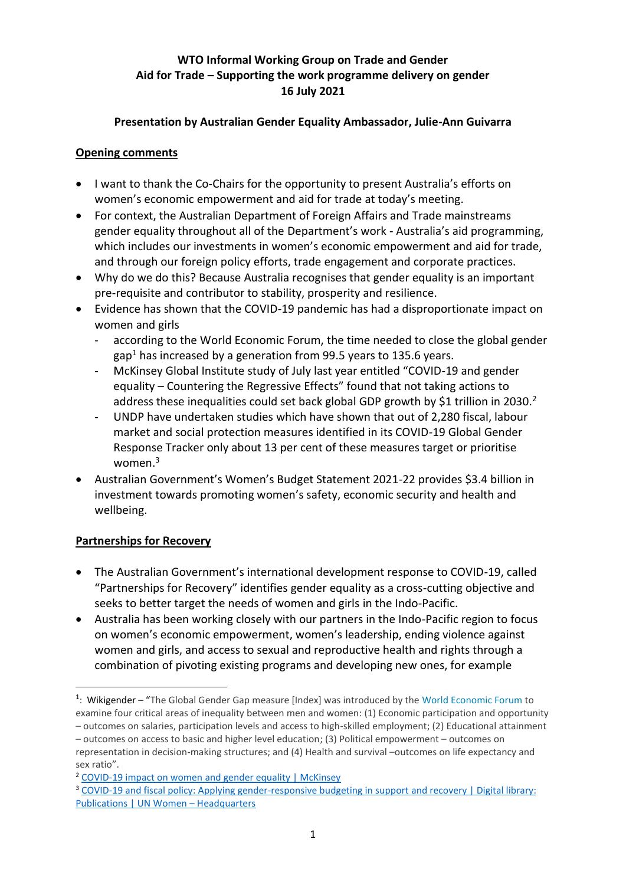# **WTO Informal Working Group on Trade and Gender Aid for Trade – Supporting the work programme delivery on gender 16 July 2021**

### **Presentation by Australian Gender Equality Ambassador, Julie-Ann Guivarra**

#### **Opening comments**

- I want to thank the Co-Chairs for the opportunity to present Australia's efforts on women's economic empowerment and aid for trade at today's meeting.
- For context, the Australian Department of Foreign Affairs and Trade mainstreams gender equality throughout all of the Department's work - Australia's aid programming, which includes our investments in women's economic empowerment and aid for trade, and through our foreign policy efforts, trade engagement and corporate practices.
- Why do we do this? Because Australia recognises that gender equality is an important pre-requisite and contributor to stability, prosperity and resilience.
- Evidence has shown that the COVID-19 pandemic has had a disproportionate impact on women and girls
	- according to the World Economic Forum, the time needed to close the global gender gap<sup>1</sup> has increased by a generation from 99.5 years to 135.6 years.
	- McKinsey Global Institute study of July last year entitled "COVID-19 and gender equality – Countering the Regressive Effects" found that not taking actions to address these inequalities could set back global GDP growth by \$1 trillion in 2030.<sup>2</sup>
	- UNDP have undertaken studies which have shown that out of 2,280 fiscal, labour market and social protection measures identified in its COVID-19 Global Gender Response Tracker only about 13 per cent of these measures target or prioritise women.<sup>3</sup>
- Australian Government's Women's Budget Statement 2021-22 provides \$3.4 billion in investment towards promoting women's safety, economic security and health and wellbeing.

### **Partnerships for Recovery**

- The Australian Government's international development response to COVID-19, called "Partnerships for Recovery" identifies gender equality as a cross-cutting objective and seeks to better target the needs of women and girls in the Indo-Pacific.
- Australia has been working closely with our partners in the Indo-Pacific region to focus on women's economic empowerment, women's leadership, ending violence against women and girls, and access to sexual and reproductive health and rights through a combination of pivoting existing programs and developing new ones, for example

<sup>&</sup>lt;sup>1</sup>: Wikigender – "The Global Gender Gap measure [Index] was introduced by the [World Economic Forum t](https://www.wikigender.org/wiki/world-economic-forum/)o examine four critical areas of inequality between men and women: (1) Economic participation and opportunity

<sup>–</sup> outcomes on salaries, participation levels and access to high-skilled employment; (2) Educational attainment – outcomes on access to basic and higher level education; (3) Political empowerment – outcomes on representation in decision-making structures; and (4) Health and survival –outcomes on life expectancy and sex ratio".

<sup>2</sup> [COVID-19 impact on women and gender equality | McKinsey](https://www.mckinsey.com/featured-insights/future-of-work/covid-19-and-gender-equality-countering-the-regressive-effects)

<sup>3</sup> [COVID-19 and fiscal policy: Applying gender-responsive budgeting in support and recovery | Digital library:](https://www.unwomen.org/en/digital-library/publications/2021/03/policy-brief-covid-19-and-fiscal-policy)  [Publications | UN Women](https://www.unwomen.org/en/digital-library/publications/2021/03/policy-brief-covid-19-and-fiscal-policy) – Headquarters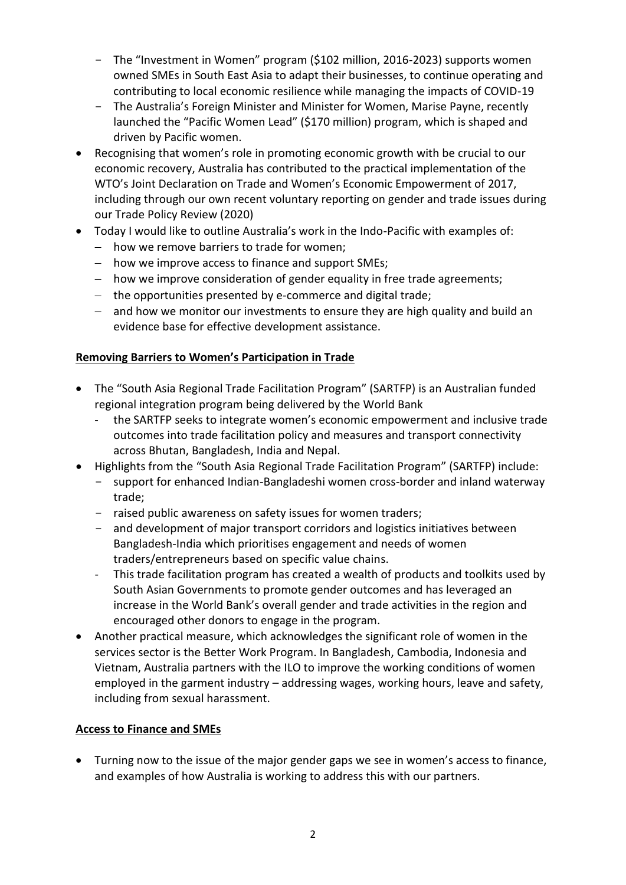- The "Investment in Women" program (\$102 million, 2016-2023) supports women owned SMEs in South East Asia to adapt their businesses, to continue operating and contributing to local economic resilience while managing the impacts of COVID-19
- The Australia's Foreign Minister and Minister for Women, Marise Payne, recently launched the "Pacific Women Lead" (\$170 million) program, which is shaped and driven by Pacific women.
- Recognising that women's role in promoting economic growth with be crucial to our economic recovery, Australia has contributed to the practical implementation of the WTO's Joint Declaration on Trade and Women's Economic Empowerment of 2017, including through our own recent voluntary reporting on gender and trade issues during our Trade Policy Review (2020)
- Today I would like to outline Australia's work in the Indo-Pacific with examples of:
	- − how we remove barriers to trade for women;
	- − how we improve access to finance and support SMEs;
	- − how we improve consideration of gender equality in free trade agreements;
	- − the opportunities presented by e-commerce and digital trade;
	- − and how we monitor our investments to ensure they are high quality and build an evidence base for effective development assistance.

### **Removing Barriers to Women's Participation in Trade**

- The "South Asia Regional Trade Facilitation Program" (SARTFP) is an Australian funded regional integration program being delivered by the World Bank
	- the SARTFP seeks to integrate women's economic empowerment and inclusive trade outcomes into trade facilitation policy and measures and transport connectivity across Bhutan, Bangladesh, India and Nepal.
- Highlights from the "South Asia Regional Trade Facilitation Program" (SARTFP) include:
	- support for enhanced Indian-Bangladeshi women cross-border and inland waterway trade;
	- raised public awareness on safety issues for women traders;
	- and development of major transport corridors and logistics initiatives between Bangladesh-India which prioritises engagement and needs of women traders/entrepreneurs based on specific value chains.
	- This trade facilitation program has created a wealth of products and toolkits used by South Asian Governments to promote gender outcomes and has leveraged an increase in the World Bank's overall gender and trade activities in the region and encouraged other donors to engage in the program.
- Another practical measure, which acknowledges the significant role of women in the services sector is the Better Work Program. In Bangladesh, Cambodia, Indonesia and Vietnam, Australia partners with the ILO to improve the working conditions of women employed in the garment industry – addressing wages, working hours, leave and safety, including from sexual harassment.

### **Access to Finance and SMEs**

• Turning now to the issue of the major gender gaps we see in women's access to finance, and examples of how Australia is working to address this with our partners.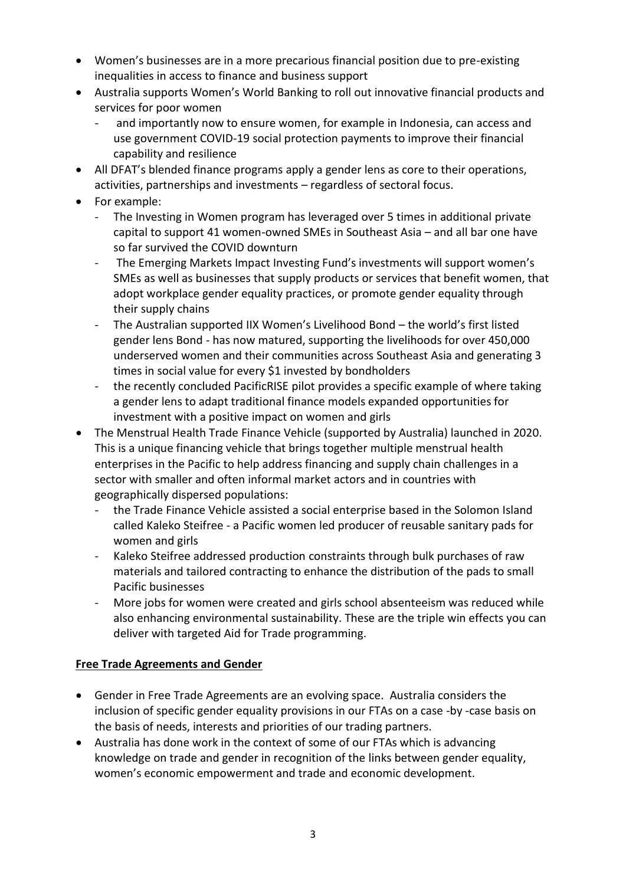- Women's businesses are in a more precarious financial position due to pre-existing inequalities in access to finance and business support
- Australia supports Women's World Banking to roll out innovative financial products and services for poor women
	- and importantly now to ensure women, for example in Indonesia, can access and use government COVID-19 social protection payments to improve their financial capability and resilience
- All DFAT's blended finance programs apply a gender lens as core to their operations, activities, partnerships and investments – regardless of sectoral focus.
- For example:
	- The Investing in Women program has leveraged over 5 times in additional private capital to support 41 women-owned SMEs in Southeast Asia – and all bar one have so far survived the COVID downturn
	- The Emerging Markets Impact Investing Fund's investments will support women's SMEs as well as businesses that supply products or services that benefit women, that adopt workplace gender equality practices, or promote gender equality through their supply chains
	- The Australian supported IIX Women's Livelihood Bond the world's first listed gender lens Bond - has now matured, supporting the livelihoods for over 450,000 underserved women and their communities across Southeast Asia and generating 3 times in social value for every \$1 invested by bondholders
	- the recently concluded PacificRISE pilot provides a specific example of where taking a gender lens to adapt traditional finance models expanded opportunities for investment with a positive impact on women and girls
- The Menstrual Health Trade Finance Vehicle (supported by Australia) launched in 2020. This is a unique financing vehicle that brings together multiple menstrual health enterprises in the Pacific to help address financing and supply chain challenges in a sector with smaller and often informal market actors and in countries with geographically dispersed populations:
	- the Trade Finance Vehicle assisted a social enterprise based in the Solomon Island called Kaleko Steifree - a Pacific women led producer of reusable sanitary pads for women and girls
	- Kaleko Steifree addressed production constraints through bulk purchases of raw materials and tailored contracting to enhance the distribution of the pads to small Pacific businesses
	- More jobs for women were created and girls school absenteeism was reduced while also enhancing environmental sustainability. These are the triple win effects you can deliver with targeted Aid for Trade programming.

## **Free Trade Agreements and Gender**

- Gender in Free Trade Agreements are an evolving space. Australia considers the inclusion of specific gender equality provisions in our FTAs on a case -by -case basis on the basis of needs, interests and priorities of our trading partners.
- Australia has done work in the context of some of our FTAs which is advancing knowledge on trade and gender in recognition of the links between gender equality, women's economic empowerment and trade and economic development.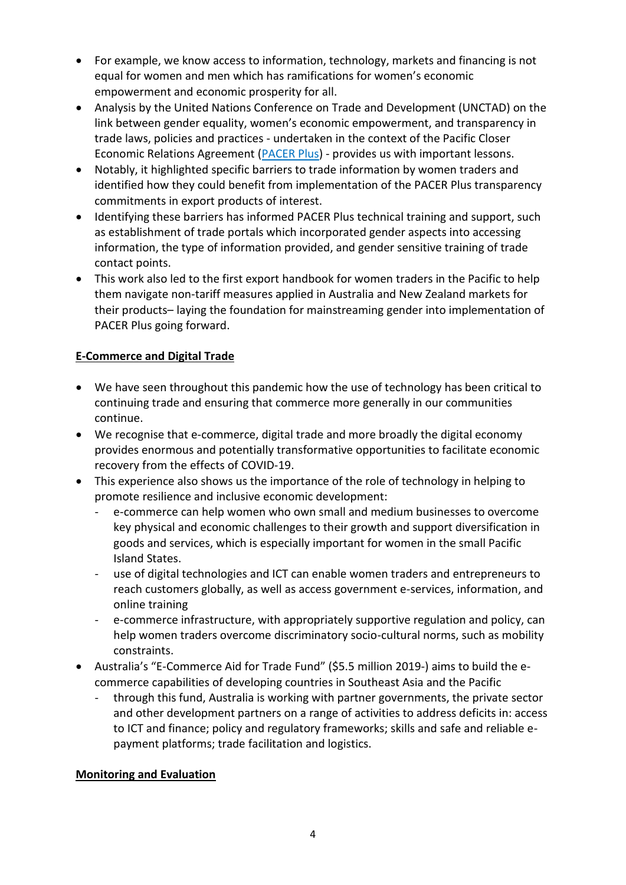- For example, we know access to information, technology, markets and financing is not equal for women and men which has ramifications for women's economic empowerment and economic prosperity for all.
- Analysis by the United Nations Conference on Trade and Development (UNCTAD) on the link between gender equality, women's economic empowerment, and transparency in trade laws, policies and practices - undertaken in the context of the Pacific Closer Economic Relations Agreement [\(PACER Plus\)](https://www.dfat.gov.au/trade/agreements/in-force/pacer/pacific-agreement-on-closer-economic-relations-plus) - provides us with important lessons.
- Notably, it highlighted specific barriers to trade information by women traders and identified how they could benefit from implementation of the PACER Plus transparency commitments in export products of interest.
- Identifying these barriers has informed PACER Plus technical training and support, such as establishment of trade portals which incorporated gender aspects into accessing information, the type of information provided, and gender sensitive training of trade contact points.
- This work also led to the first export handbook for women traders in the Pacific to help them navigate non-tariff measures applied in Australia and New Zealand markets for their products– laying the foundation for mainstreaming gender into implementation of PACER Plus going forward.

## **E-Commerce and Digital Trade**

- We have seen throughout this pandemic how the use of technology has been critical to continuing trade and ensuring that commerce more generally in our communities continue.
- We recognise that e-commerce, digital trade and more broadly the digital economy provides enormous and potentially transformative opportunities to facilitate economic recovery from the effects of COVID-19.
- This experience also shows us the importance of the role of technology in helping to promote resilience and inclusive economic development:
	- e-commerce can help women who own small and medium businesses to overcome key physical and economic challenges to their growth and support diversification in goods and services, which is especially important for women in the small Pacific Island States.
	- use of digital technologies and ICT can enable women traders and entrepreneurs to reach customers globally, as well as access government e-services, information, and online training
	- e-commerce infrastructure, with appropriately supportive regulation and policy, can help women traders overcome discriminatory socio-cultural norms, such as mobility constraints.
- Australia's "E-Commerce Aid for Trade Fund" (\$5.5 million 2019-) aims to build the ecommerce capabilities of developing countries in Southeast Asia and the Pacific
	- through this fund, Australia is working with partner governments, the private sector and other development partners on a range of activities to address deficits in: access to ICT and finance; policy and regulatory frameworks; skills and safe and reliable epayment platforms; trade facilitation and logistics.

### **Monitoring and Evaluation**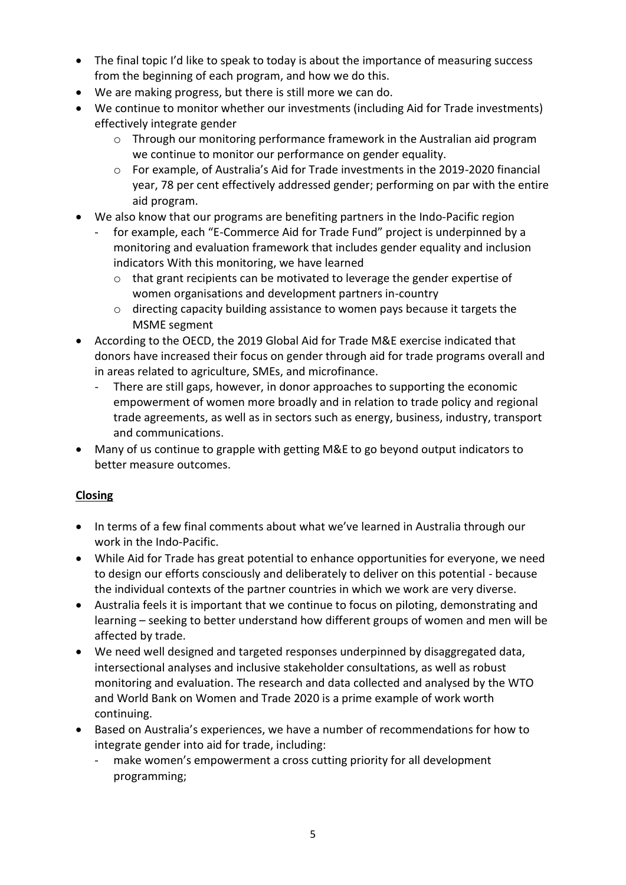- The final topic I'd like to speak to today is about the importance of measuring success from the beginning of each program, and how we do this.
- We are making progress, but there is still more we can do.
- We continue to monitor whether our investments (including Aid for Trade investments) effectively integrate gender
	- o Through our monitoring performance framework in the Australian aid program we continue to monitor our performance on gender equality.
	- o For example, of Australia's Aid for Trade investments in the 2019-2020 financial year, 78 per cent effectively addressed gender; performing on par with the entire aid program.
- We also know that our programs are benefiting partners in the Indo-Pacific region
	- for example, each "E-Commerce Aid for Trade Fund" project is underpinned by a monitoring and evaluation framework that includes gender equality and inclusion indicators With this monitoring, we have learned
		- $\circ$  that grant recipients can be motivated to leverage the gender expertise of women organisations and development partners in-country
		- $\circ$  directing capacity building assistance to women pays because it targets the MSME segment
- According to the OECD, the 2019 Global Aid for Trade M&E exercise indicated that donors have increased their focus on gender through aid for trade programs overall and in areas related to agriculture, SMEs, and microfinance.
	- There are still gaps, however, in donor approaches to supporting the economic empowerment of women more broadly and in relation to trade policy and regional trade agreements, as well as in sectors such as energy, business, industry, transport and communications.
- Many of us continue to grapple with getting M&E to go beyond output indicators to better measure outcomes.

## **Closing**

- In terms of a few final comments about what we've learned in Australia through our work in the Indo-Pacific.
- While Aid for Trade has great potential to enhance opportunities for everyone, we need to design our efforts consciously and deliberately to deliver on this potential - because the individual contexts of the partner countries in which we work are very diverse.
- Australia feels it is important that we continue to focus on piloting, demonstrating and learning – seeking to better understand how different groups of women and men will be affected by trade.
- We need well designed and targeted responses underpinned by disaggregated data, intersectional analyses and inclusive stakeholder consultations, as well as robust monitoring and evaluation. The research and data collected and analysed by the WTO and World Bank on Women and Trade 2020 is a prime example of work worth continuing.
- Based on Australia's experiences, we have a number of recommendations for how to integrate gender into aid for trade, including:
	- make women's empowerment a cross cutting priority for all development programming;